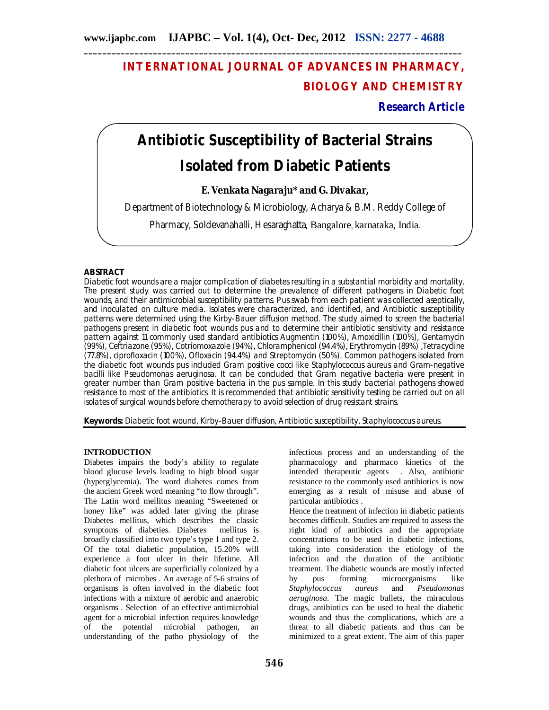## **INTERNATIONAL JOURNAL OF ADVANCES IN PHARMACY, BIOLOGY AND CHEMISTRY**

**Research Article**

# **Antibiotic Susceptibility of Bacterial Strains Isolated from Diabetic Patients**

### **E. Venkata Nagaraju\* and G. Divakar,**

Department of Biotechnology & Microbiology, Acharya & B.M. Reddy College of

Pharmacy, Soldevanahalli, Hesaraghatta, Bangalore, karnataka, India.

#### **ABSTRACT**

Diabetic foot wounds are a major complication of diabetes resulting in a substantial morbidity and mortality. The present study was carried out to determine the prevalence of different pathogens in Diabetic foot wounds, and their antimicrobial susceptibility patterns. Pus swab from each patient was collected aseptically, and inoculated on culture media. Isolates were characterized, and identified, and Antibiotic susceptibility patterns were determined using the Kirby-Bauer diffusion method. The study aimed to screen the bacterial pathogens present in diabetic foot wounds pus and to determine their antibiotic sensitivity and resistance pattern against 11 commonly used standard antibiotics Augmentin (100%), Amoxicillin (100%), Gentamycin (99%), Ceftriazone (95%), Cotriomoxazole (94%), Chloramphenicol (94.4%), Erythromycin (89%) ,Tetracycline (77.8%), ciprofloxacin (100%), Ofloxacin (94.4%) and Streptomycin (50%). Common pathogens isolated from the diabetic foot wounds pus included Gram positive cocci like *Staphylococcus aureus* and Gram-negative bacilli like *Pseudomonas aeruginosa*. It can be concluded that Gram negative bacteria were present in greater number than Gram positive bacteria in the pus sample. In this study bacterial pathogens showed resistance to most of the antibiotics. It is recommended that antibiotic sensitivity testing be carried out on all isolates of surgical wounds before chemotherapy to avoid selection of drug resistant strains.

**Keywords:** Diabetic foot wound, Kirby-Bauer diffusion, Antibiotic susceptibility, *Staphylococcus aureus.*

#### **INTRODUCTION**

Diabetes impairs the body's ability to regulate blood glucose levels leading to high blood sugar (hyperglycemia). The word diabetes comes from the ancient Greek word meaning "to flow through". The Latin word mellitus meaning "Sweetened or honey like" was added later giving the phrase Diabetes mellitus, which describes the classic symptoms of diabeties. Diabetes mellitus is broadly classified into two type's type 1 and type 2. Of the total diabetic population, 15.20% will experience a foot ulcer in their lifetime. All diabetic foot ulcers are superficially colonized by a plethora of microbes . An average of 5-6 strains of organisms is often involved in the diabetic foot infections with a mixture of aerobic and anaerobic organisms . Selection of an effective antimicrobial agent for a microbial infection requires knowledge of the potential microbial pathogen, an understanding of the patho physiology of the

infectious process and an understanding of the pharmacology and pharmaco kinetics of the intended therapeutic agents . Also, antibiotic resistance to the commonly used antibiotics is now emerging as a result of misuse and abuse of particular antibiotics . Hence the treatment of infection in diabetic patients

becomes difficult. Studies are required to assess the right kind of antibiotics and the appropriate concentrations to be used in diabetic infections, taking into consideration the etiology of the infection and the duration of the antibiotic treatment. The diabetic wounds are mostly infected<br>by pus forming microorganisms like by pus forming microorganisms like<br>Staphylococcus aureus and Pseudomonas *Staphylococcus aureus aeruginosa.* The magic bullets, the miraculous drugs, antibiotics can be used to heal the diabetic wounds and thus the complications, which are a threat to all diabetic patients and thus can be minimized to a great extent. The aim of this paper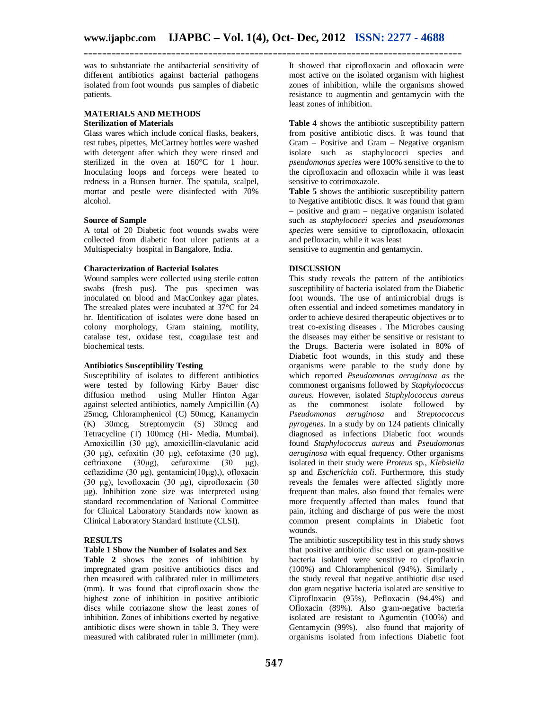was to substantiate the antibacterial sensitivity of different antibiotics against bacterial pathogens isolated from foot wounds pus samples of diabetic patients.

#### **MATERIALS AND METHODS Sterilization of Materials**

Glass wares which include conical flasks, beakers, test tubes, pipettes, McCartney bottles were washed with detergent after which they were rinsed and sterilized in the oven at 160°C for 1 hour. Inoculating loops and forceps were heated to redness in a Bunsen burner. The spatula, scalpel, mortar and pestle were disinfected with 70% alcohol.

#### **Source of Sample**

A total of 20 Diabetic foot wounds swabs were collected from diabetic foot ulcer patients at a Multispecialty hospital in Bangalore, India.

#### **Characterization of Bacterial Isolates**

Wound samples were collected using sterile cotton swabs (fresh pus). The pus specimen was inoculated on blood and MacConkey agar plates. The streaked plates were incubated at 37°C for 24 hr. Identification of isolates were done based on colony morphology, Gram staining, motility, catalase test, oxidase test, coagulase test and biochemical tests.

#### **Antibiotics Susceptibility Testing**

Susceptibility of isolates to different antibiotics were tested by following Kirby Bauer disc diffusion method using Muller Hinton Agar against selected antibiotics, namely Ampicillin (A) 25mcg, Chloramphenicol (C) 50mcg, Kanamycin (K) 30mcg, Streptomycin (S) 30mcg and Tetracycline (T) 100mcg (Hi- Media, Mumbai). Amoxicillin (30 μg), amoxicillin-clavulanic acid (30 μg), cefoxitin (30 μg), cefotaxime (30 μg), ceftriaxone (30μg), cefuroxime (30 μg), ceftazidime (30 μg), gentamicin(10μg),), ofloxacin (30 μg), levofloxacin (30 μg), ciprofloxacin (30 μg). Inhibition zone size was interpreted using standard recommendation of National Committee for Clinical Laboratory Standards now known as Clinical Laboratory Standard Institute (CLSI).

#### **RESULTS**

#### **Table 1 Show the Number of Isolates and Sex**

**Table 2** shows the zones of inhibition by impregnated gram positive antibiotics discs and then measured with calibrated ruler in millimeters (mm). It was found that ciprofloxacin show the highest zone of inhibition in positive antibiotic discs while cotriazone show the least zones of inhibition. Zones of inhibitions exerted by negative antibiotic discs were shown in table 3. They were measured with calibrated ruler in millimeter (mm).

It showed that ciprofloxacin and ofloxacin were most active on the isolated organism with highest zones of inhibition, while the organisms showed resistance to augmentin and gentamycin with the least zones of inhibition.

**Table 4** shows the antibiotic susceptibility pattern from positive antibiotic discs. It was found that Gram – Positive and Gram – Negative organism isolate such as staphylococci species and *pseudomonas species* were 100% sensitive to the to the ciprofloxacin and ofloxacin while it was least sensitive to cotrimoxazole.

**Table 5** shows the antibiotic susceptibility pattern to Negative antibiotic discs. It was found that gram – positive and gram – negative organism isolated such as *staphylococci species* and *pseudomonas species* were sensitive to ciprofloxacin, ofloxacin and pefloxacin, while it was least

sensitive to augmentin and gentamycin.

#### **DISCUSSION**

This study reveals the pattern of the antibiotics susceptibility of bacteria isolated from the Diabetic foot wounds. The use of antimicrobial drugs is often essential and indeed sometimes mandatory in order to achieve desired therapeutic objectives or to treat co-existing diseases . The Microbes causing the diseases may either be sensitive or resistant to the Drugs. Bacteria were isolated in 80% of Diabetic foot wounds, in this study and these organisms were parable to the study done by which reported *Pseudomonas aeruginosa as* the commonest organisms followed by *Staphylococcus aureus.* However, isolated *Staphylococcus aureus*  as the commonest isolate followed by *Pseudomonas aeruginosa* and *Streptococcus pyrogenes.* In a study by on 124 patients clinically diagnosed as infections Diabetic foot wounds found *Staphylococcus aureus* and *Pseudomonas aeruginosa* with equal frequency. Other organisms isolated in their study were *Proteus* sp., *Klebsiella*  sp and *Escherichia coli*. Furthermore, this study reveals the females were affected slightly more frequent than males. also found that females were more frequently affected than males found that pain, itching and discharge of pus were the most common present complaints in Diabetic foot wounds.

The antibiotic susceptibility test in this study shows that positive antibiotic disc used on gram-positive bacteria isolated were sensitive to ciproflaxcin (100%) and Chloramphenicol (94%). Similarly , the study reveal that negative antibiotic disc used don gram negative bacteria isolated are sensitive to Ciprofloxacin (95%), Pefloxacin (94.4%) and Ofloxacin (89%). Also gram-negative bacteria isolated are resistant to Agumentin (100%) and Gentamycin (99%). also found that majority of organisms isolated from infections Diabetic foot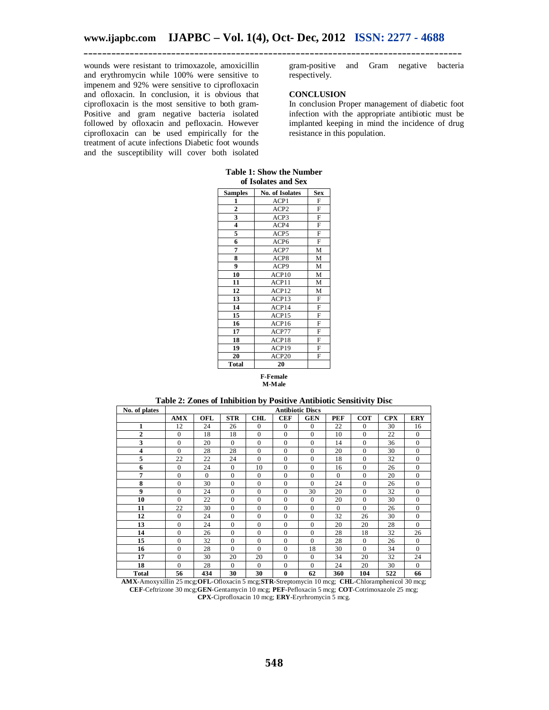wounds were resistant to trimoxazole, amoxicillin and erythromycin while 100% were sensitive to impenem and 92% were sensitive to ciprofloxacin and ofloxacin. In conclusion, it is obvious that ciprofloxacin is the most sensitive to both gram-Positive and gram negative bacteria isolated followed by ofloxacin and pefloxacin. However ciprofloxacin can be used empirically for the treatment of acute infections Diabetic foot wounds and the susceptibility will cover both isolated

gram-positive and Gram negative bacteria respectively.

#### **CONCLUSION**

In conclusion Proper management of diabetic foot infection with the appropriate antibiotic must be implanted keeping in mind the incidence of drug resistance in this population.

|  |          |                     | Table 1: Show the Number |
|--|----------|---------------------|--------------------------|
|  |          | of Isolates and Sex |                          |
|  | __ _ _ _ |                     |                          |

| <b>Samples</b>          | No. of Isolates  | <b>Sex</b> |
|-------------------------|------------------|------------|
| 1                       | ACP1             | F          |
| $\overline{\mathbf{c}}$ | ACP <sub>2</sub> | F          |
| 3                       | ACP3             | F          |
| $\overline{\mathbf{4}}$ | ACP4             | F          |
| 5                       | ACP5             | F          |
| 6                       | ACP <sub>6</sub> | F          |
| 7                       | ACP7             | M          |
| 8                       | ACP8             | М          |
| 9                       | ACP9             | M          |
| 10                      | ACP10            | M          |
| 11                      | ACP11            | М          |
| 12                      | ACP12            | M          |
| 13                      | ACP13            | F          |
| 14                      | ACP14            | F          |
| 15                      | ACP15            | F          |
| 16                      | ACP16            | F          |
| 17                      | ACP77            | F          |
| 18                      | ACP18            | F          |
| 19                      | ACP19            | F          |
| 20                      | ACP20            | F          |
| Total                   | 20               |            |

#### **F-Female M-Male**

**Table 2: Zones of Inhibition by Positive Antibiotic Sensitivity Disc**

| No. of plates           | <b>Antibiotic Discs</b> |          |                |              |              |              |            |              |            |                |
|-------------------------|-------------------------|----------|----------------|--------------|--------------|--------------|------------|--------------|------------|----------------|
|                         | <b>AMX</b>              | OFL      | <b>STR</b>     | CHL          | <b>CEF</b>   | <b>GEN</b>   | <b>PEF</b> | <b>COT</b>   | <b>CPX</b> | <b>ERY</b>     |
| 1                       | 12                      | 24       | 26             | $\Omega$     | $\mathbf{0}$ | $\theta$     | 22         | $\Omega$     | 30         | 16             |
| $\overline{2}$          | $\mathbf{0}$            | 18       | 18             | $\mathbf{0}$ | $\mathbf{0}$ | $\mathbf{0}$ | 10         | $\Omega$     | 22         | $\mathbf{0}$   |
| 3                       | $\mathbf{0}$            | 20       | $\Omega$       | $\Omega$     | $\mathbf{0}$ | $\mathbf{0}$ | 14         | $\Omega$     | 36         | $\mathbf{0}$   |
| $\overline{\mathbf{4}}$ | $\Omega$                | 28       | 28             | $\mathbf{0}$ | $\mathbf{0}$ | $\mathbf{0}$ | 20         | $\mathbf{0}$ | 30         | $\mathbf{0}$   |
| 5                       | 22                      | 22       | 24             | $\Omega$     | $\mathbf{0}$ | $\mathbf{0}$ | 18         | $\Omega$     | 32         | $\mathbf{0}$   |
| 6                       | $\Omega$                | 24       | $\Omega$       | 10           | $\mathbf{0}$ | $\mathbf{0}$ | 16         | $\Omega$     | 26         | $\mathbf{0}$   |
| 7                       | $\Omega$                | $\Omega$ | $\mathbf{0}$   | $\Omega$     | $\mathbf{0}$ | $\mathbf{0}$ | $\Omega$   | $\Omega$     | 20         | $\mathbf{0}$   |
| 8                       | $\mathbf{0}$            | 30       | $\overline{0}$ | $\mathbf{0}$ | $\mathbf{0}$ | $\Omega$     | 24         | $\Omega$     | 26         | $\overline{0}$ |
| 9                       | $\mathbf{0}$            | 24       | $\overline{0}$ | $\mathbf{0}$ | $\mathbf{0}$ | 30           | 20         | $\Omega$     | 32         | $\overline{0}$ |
| 10                      | $\Omega$                | 22       | $\Omega$       | $\Omega$     | $\mathbf{0}$ | $\theta$     | 20         | $\Omega$     | 30         | $\mathbf{0}$   |
| 11                      | 22                      | 30       | $\overline{0}$ | $\mathbf{0}$ | $\mathbf{0}$ | $\mathbf{0}$ | $\Omega$   | $\Omega$     | 26         | $\mathbf{0}$   |
| 12                      | $\Omega$                | 24       | $\Omega$       | $\Omega$     | $\mathbf{0}$ | $\mathbf{0}$ | 32         | 26           | 30         | $\mathbf{0}$   |
| 13                      | $\mathbf{0}$            | 24       | $\Omega$       | $\Omega$     | $\mathbf{0}$ | $\mathbf{0}$ | 20         | 20           | 28         | $\Omega$       |
| 14                      | $\Omega$                | 26       | $\Omega$       | $\Omega$     | $\mathbf{0}$ | $\Omega$     | 28         | 18           | 32         | 26             |
| 15                      | $\mathbf{0}$            | 32       | $\mathbf{0}$   | $\mathbf{0}$ | $\mathbf{0}$ | $\mathbf{0}$ | 28         | $\mathbf{0}$ | 26         | $\mathbf{0}$   |
| 16                      | $\Omega$                | 28       | $\Omega$       | $\Omega$     | $\Omega$     | 18           | 30         | $\Omega$     | 34         | $\Omega$       |
| 17                      | $\mathbf{0}$            | 30       | 20             | 20           | $\mathbf{0}$ | $\mathbf{0}$ | 34         | 20           | 32         | 24             |
| 18                      | $\mathbf{0}$            | 28       | $\Omega$       | $\Omega$     | $\mathbf{0}$ | $\mathbf{0}$ | 24         | 20           | 30         | $\mathbf{0}$   |
| Total                   | 56                      | 434      | 30             | 30           | $\bf{0}$     | 62           | 360        | 104          | 522        | 66             |

**AMX**-Amoxyxillin 25 mcg;**OFL**-Ofloxacin 5 mcg;**STR**-Streptomycin 10 mcg; **CHL**-Chloramphenicol 30 mcg; **CEF**-Ceftrizone 30 mcg;**GEN**-Gentamycin 10 mcg; **PEF**-Pefloxacin 5 mcg; **COT**-Cotrimoxazole 25 mcg; **CPX**-Ciprofloxacin 10 mcg; **ERY**-Eryrhromycin 5 mcg.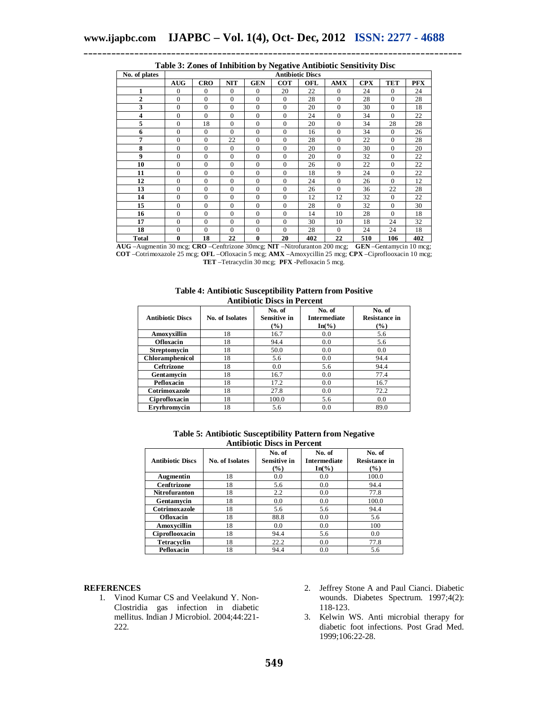| No. of plates      | <b>Antibiotic Discs</b>          |                           |                     |                               |                      |     |            |               |                |            |
|--------------------|----------------------------------|---------------------------|---------------------|-------------------------------|----------------------|-----|------------|---------------|----------------|------------|
|                    | <b>AUG</b>                       | <b>CRO</b>                | <b>NIT</b>          | <b>GEN</b>                    | <b>COT</b>           | OFL | <b>AMX</b> | <b>CPX</b>    | <b>TET</b>     | <b>PFX</b> |
| 1                  | $\Omega$                         | $\Omega$                  | $\Omega$            | $\Omega$                      | 20                   | 22  | $\Omega$   | 24            | $\mathbf{0}$   | 24         |
| $\overline{2}$     | $\Omega$                         | $\Omega$                  | $\Omega$            | $\Omega$                      | $\mathbf{0}$         | 28  | $\Omega$   | 28            | $\mathbf{0}$   | 28         |
| 3                  | $\Omega$                         | $\Omega$                  | $\Omega$            | $\Omega$                      | $\mathbf{0}$         | 20  | $\Omega$   | 30            | $\overline{0}$ | 18         |
| $\overline{\bf 4}$ | $\mathbf{0}$                     | $\Omega$                  | $\mathbf{0}$        | $\Omega$                      | $\mathbf{0}$         | 24  | $\Omega$   | 34            | $\mathbf{0}$   | 22         |
| 5                  | $\mathbf{0}$                     | 18                        | $\mathbf{0}$        | $\mathbf{0}$                  | $\mathbf{0}$         | 20  | $\Omega$   | 34            | 28             | 28         |
| 6                  | $\mathbf{0}$                     | $\mathbf{0}$              | $\Omega$            | $\Omega$                      | $\mathbf{0}$         | 16  | $\Omega$   | 34            | $\mathbf{0}$   | 26         |
| 7                  | $\mathbf{0}$                     | $\Omega$                  | 22                  | $\Omega$                      | $\mathbf{0}$         | 28  | $\Omega$   | 22            | $\overline{0}$ | 28         |
| 8                  | $\mathbf{0}$                     | $\Omega$                  | $\Omega$            | $\Omega$                      | $\mathbf{0}$         | 20  | $\Omega$   | 30            | $\mathbf{0}$   | 20         |
| $\boldsymbol{9}$   | $\mathbf{0}$                     | $\Omega$                  | $\Omega$            | $\Omega$                      | $\mathbf{0}$         | 20  | $\Omega$   | 32            | $\mathbf{0}$   | 22         |
| 10                 | $\mathbf{0}$                     | $\Omega$                  | $\Omega$            | $\Omega$                      | $\mathbf{0}$         | 26  | $\Omega$   | 22            | $\mathbf{0}$   | 22         |
| 11                 | $\mathbf{0}$                     | $\theta$                  | $\overline{0}$      | $\theta$                      | $\overline{0}$       | 18  | 9          | 24            | $\overline{0}$ | 22         |
| 12                 | $\mathbf{0}$                     | $\mathbf{0}$              | $\mathbf{0}$        | $\mathbf{0}$                  | $\mathbf{0}$         | 24  | $\Omega$   | 26            | $\mathbf{0}$   | 12         |
| 13                 | $\mathbf{0}$                     | $\Omega$                  | $\Omega$            | $\Omega$                      | $\mathbf{0}$         | 26  | $\Omega$   | 36            | 22             | 28         |
| 14                 | $\mathbf{0}$                     | $\Omega$                  | $\Omega$            | $\Omega$                      | $\mathbf{0}$         | 12  | 12         | 32            | $\mathbf{0}$   | 22         |
| 15                 | $\mathbf{0}$                     | $\Omega$                  | $\Omega$            | $\Omega$                      | $\mathbf{0}$         | 28  | $\Omega$   | 32            | $\Omega$       | 30         |
| 16                 | $\mathbf{0}$                     | $\mathbf{0}$              | $\mathbf{0}$        | $\mathbf{0}$                  | $\mathbf{0}$         | 14  | 10         | 28            | $\mathbf{0}$   | 18         |
| 17                 | $\mathbf{0}$                     | $\Omega$                  | $\mathbf{0}$        | $\Omega$                      | $\mathbf{0}$         | 30  | 10         | 18            | 24             | 32         |
| 18                 | $\Omega$                         | $\Omega$                  | $\Omega$            | $\Omega$                      | $\Omega$             | 28  | $\Omega$   | 24            | 24             | 18         |
| <b>Total</b><br>.  | $\bf{0}$<br>$\sim$ $\sim$ $\sim$ | 18<br>$\sim$ $\sim$<br>-- | 22<br>$\sim$ $\sim$ | $\mathbf{0}$<br>$\sim$ $\sim$ | 20<br><b>Section</b> | 402 | 22         | 510<br>------ | 106            | 402        |

| Table 3: Zones of Inhibition by Negative Antibiotic Sensitivity Disc |  |
|----------------------------------------------------------------------|--|

**AUG** –Augmentin 30 mcg; **CRO** –Cenftrizone 30mcg; **NIT** –Nitrofuranton 200 mcg; **GEN** –Gentamycin 10 mcg; **COT** –Cotrimoxazole 25 mcg; **OFL** –Ofloxacin 5 mcg; **AMX** –Amoxycillin 25 mcg; **CPX** –Ciproflooxacin 10 mcg; **TET** –Tetracyclin 30 mcg; **PFX** -Pefloxacin 5 mcg.

**Table 4: Antibiotic Susceptibility Pattern from Positive Antibiotic Discs in Percent**

| типиргоне глоез ні і сгесін |                 |                                         |                                                    |                                       |  |  |  |
|-----------------------------|-----------------|-----------------------------------------|----------------------------------------------------|---------------------------------------|--|--|--|
| <b>Antibiotic Discs</b>     | No. of Isolates | No. of<br><b>Sensitive in</b><br>$(\%)$ | No. of<br><b>Intermediate</b><br>$In\mathcal{O}_0$ | No. of<br><b>Resistance in</b><br>(%) |  |  |  |
| Amoxyxillin                 | 18              | 16.7                                    | 0.0                                                | 5.6                                   |  |  |  |
| <b>Ofloxacin</b>            | 18              | 94.4                                    | 0.0                                                | 5.6                                   |  |  |  |
| Streptomycin                | 18              | 50.0                                    | 0.0                                                | 0.0                                   |  |  |  |
| <b>Chloramphenicol</b>      | 18              | 5.6                                     | 0.0                                                | 94.4                                  |  |  |  |
| <b>Ceftrizone</b>           | 18              | 0.0                                     | 5.6                                                | 94.4                                  |  |  |  |
| Gentamycin                  | 18              | 16.7                                    | 0.0                                                | 77.4                                  |  |  |  |
| Pefloxacin                  | 18              | 17.2                                    | 0.0                                                | 16.7                                  |  |  |  |
| Cotrimoxazole               | 18              | 27.8                                    | 0.0                                                | 72.2                                  |  |  |  |
| Ciprofloxacin               | 18              | 100.0                                   | 5.6                                                | 0.0                                   |  |  |  |
| Ervrhromycin                | 18              | 5.6                                     | 0.0                                                | 89.0                                  |  |  |  |

**Table 5: Antibiotic Susceptibility Pattern from Negative Antibiotic Discs in Percent**

| <b>Antibiotic Discs</b> | No. of Isolates | No. of<br><b>Sensitive in</b><br>$\frac{9}{6}$ | No. of<br><b>Intermediate</b><br>$In\mathcal{O}_0$ | No. of<br><b>Resistance in</b><br>$(\%)$ |
|-------------------------|-----------------|------------------------------------------------|----------------------------------------------------|------------------------------------------|
| Augmentin               | 18              | 0.0                                            | 0.0                                                | 100.0                                    |
| Cenftrizone             | 18              | 5.6                                            | 0.0                                                | 94.4                                     |
| <b>Nitrofuranton</b>    | 18              | 2.2                                            | 0.0                                                | 77.8                                     |
| Gentamycin              | 18              | 0.0                                            | 0.0                                                | 100.0                                    |
| Cotrimoxazole           | 18              | 5.6                                            | 5.6                                                | 94.4                                     |
| <b>Ofloxacin</b>        | 18              | 88.8                                           | 0.0                                                | 5.6                                      |
| Amoxycillin             | 18              | 0.0                                            | 0.0                                                | 100                                      |
| Ciproflooxacin          | 18              | 94.4                                           | 5.6                                                | 0.0                                      |
| Tetracyclin             | 18              | 22.2                                           | 0.0                                                | 77.8                                     |
| Pefloxacin              | 18              | 94.4                                           | 0.0                                                | 5.6                                      |

#### **REFERENCES**

- 1. Vinod Kumar CS and Veelakund Y. Non-Clostridia gas infection in diabetic mellitus. Indian J Microbiol. 2004;44:221- 222.
- 2. Jeffrey Stone A and Paul Cianci. Diabetic wounds. Diabetes Spectrum. 1997;4(2): 118-123.
- 3. Kelwin WS. Anti microbial therapy for diabetic foot infections. Post Grad Med. 1999;106:22-28.